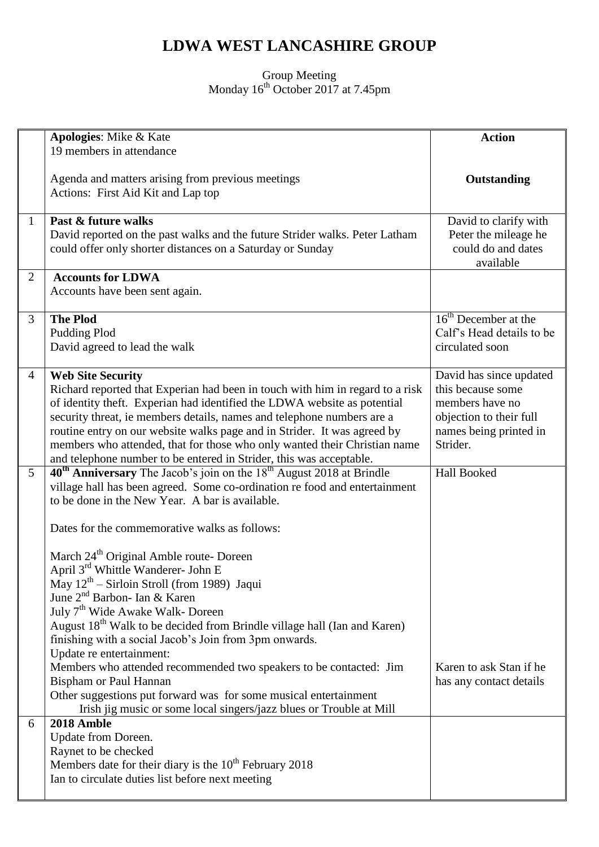## **LDWA WEST LANCASHIRE GROUP**

Group Meeting Monday 16<sup>th</sup> October 2017 at 7.45pm

|                | Apologies: Mike & Kate                                                                                                                                                                                                                                                                                                                                                                                                                                                                                                                                                                                                                                                                                                                                                                                                                                                                                                                                                  | <b>Action</b>                                                                                                                    |
|----------------|-------------------------------------------------------------------------------------------------------------------------------------------------------------------------------------------------------------------------------------------------------------------------------------------------------------------------------------------------------------------------------------------------------------------------------------------------------------------------------------------------------------------------------------------------------------------------------------------------------------------------------------------------------------------------------------------------------------------------------------------------------------------------------------------------------------------------------------------------------------------------------------------------------------------------------------------------------------------------|----------------------------------------------------------------------------------------------------------------------------------|
|                | 19 members in attendance                                                                                                                                                                                                                                                                                                                                                                                                                                                                                                                                                                                                                                                                                                                                                                                                                                                                                                                                                |                                                                                                                                  |
|                | Agenda and matters arising from previous meetings<br>Actions: First Aid Kit and Lap top                                                                                                                                                                                                                                                                                                                                                                                                                                                                                                                                                                                                                                                                                                                                                                                                                                                                                 | Outstanding                                                                                                                      |
| $\mathbf{1}$   | Past & future walks<br>David reported on the past walks and the future Strider walks. Peter Latham<br>could offer only shorter distances on a Saturday or Sunday                                                                                                                                                                                                                                                                                                                                                                                                                                                                                                                                                                                                                                                                                                                                                                                                        | David to clarify with<br>Peter the mileage he<br>could do and dates<br>available                                                 |
| 2              | <b>Accounts for LDWA</b><br>Accounts have been sent again.                                                                                                                                                                                                                                                                                                                                                                                                                                                                                                                                                                                                                                                                                                                                                                                                                                                                                                              |                                                                                                                                  |
| 3              | <b>The Plod</b><br>Pudding Plod<br>David agreed to lead the walk                                                                                                                                                                                                                                                                                                                                                                                                                                                                                                                                                                                                                                                                                                                                                                                                                                                                                                        | $16th$ December at the<br>Calf's Head details to be<br>circulated soon                                                           |
| $\overline{4}$ | <b>Web Site Security</b><br>Richard reported that Experian had been in touch with him in regard to a risk<br>of identity theft. Experian had identified the LDWA website as potential<br>security threat, ie members details, names and telephone numbers are a<br>routine entry on our website walks page and in Strider. It was agreed by<br>members who attended, that for those who only wanted their Christian name<br>and telephone number to be entered in Strider, this was acceptable.                                                                                                                                                                                                                                                                                                                                                                                                                                                                         | David has since updated<br>this because some<br>members have no<br>objection to their full<br>names being printed in<br>Strider. |
| $5^{\circ}$    | 40 <sup>th</sup> Anniversary The Jacob's join on the 18 <sup>th</sup> August 2018 at Brindle<br>village hall has been agreed. Some co-ordination re food and entertainment<br>to be done in the New Year. A bar is available.<br>Dates for the commemorative walks as follows:<br>March 24 <sup>th</sup> Original Amble route- Doreen<br>April 3 <sup>rd</sup> Whittle Wanderer- John E<br>May $12^{th}$ – Sirloin Stroll (from 1989) Jaqui<br>June 2 <sup>nd</sup> Barbon- Ian & Karen<br>July 7 <sup>th</sup> Wide Awake Walk- Doreen<br>August 18 <sup>th</sup> Walk to be decided from Brindle village hall (Ian and Karen)<br>finishing with a social Jacob's Join from 3pm onwards.<br>Update re entertainment:<br>Members who attended recommended two speakers to be contacted: Jim<br><b>Bispham or Paul Hannan</b><br>Other suggestions put forward was for some musical entertainment<br>Irish jig music or some local singers/jazz blues or Trouble at Mill | <b>Hall Booked</b><br>Karen to ask Stan if he<br>has any contact details                                                         |
| 6              | 2018 Amble<br>Update from Doreen.<br>Raynet to be checked<br>Members date for their diary is the $10th$ February 2018<br>Ian to circulate duties list before next meeting                                                                                                                                                                                                                                                                                                                                                                                                                                                                                                                                                                                                                                                                                                                                                                                               |                                                                                                                                  |